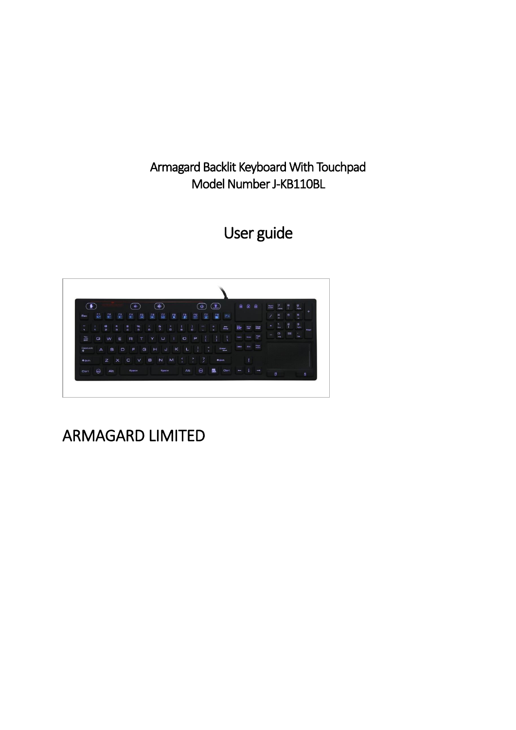Armagard Backlit Keyboard With Touchpad Model Number J-KB110BL

User guide



## ARMAGARD LIMITED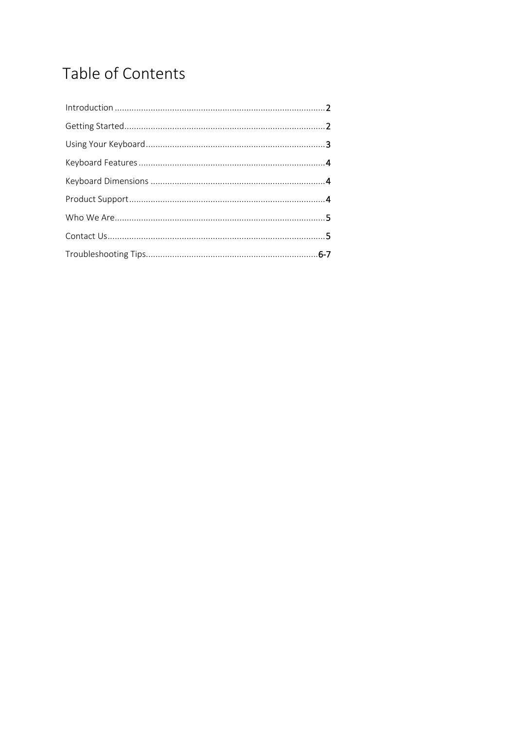# Table of Contents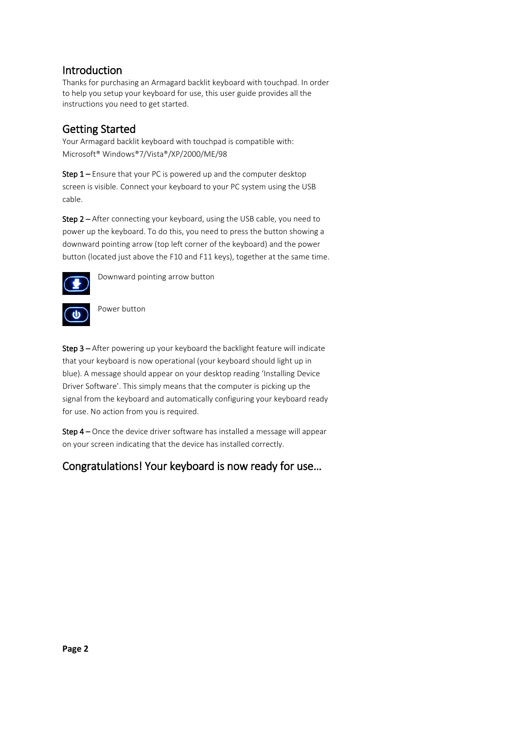### Introduction

Thanks for purchasing an Armagard backlit keyboard with touchpad. In order to help you setup your keyboard for use, this user guide provides all the instructions you need to get started.

## Getting Started

Your Armagard backlit keyboard with touchpad is compatible with: Microsoft® Windows®7/Vista®/XP/2000/ME/98

Step 1 – Ensure that your PC is powered up and the computer desktop screen is visible. Connect your keyboard to your PC system using the USB cable.

Step 2 – After connecting your keyboard, using the USB cable, you need to power up the keyboard. To do this, you need to press the button showing a downward pointing arrow (top left corner of the keyboard) and the power button (located just above the F10 and F11 keys), together at the same time.



Downward pointing arrow button

Power button

Step 3 – After powering up your keyboard the backlight feature will indicate that your keyboard is now operational (your keyboard should light up in blue). A message should appear on your desktop reading 'Installing Device Driver Software'. This simply means that the computer is picking up the signal from the keyboard and automatically configuring your keyboard ready for use. No action from you is required.

Step 4 – Once the device driver software has installed a message will appear on your screen indicating that the device has installed correctly.

## Congratulations! Your keyboard is now ready for use…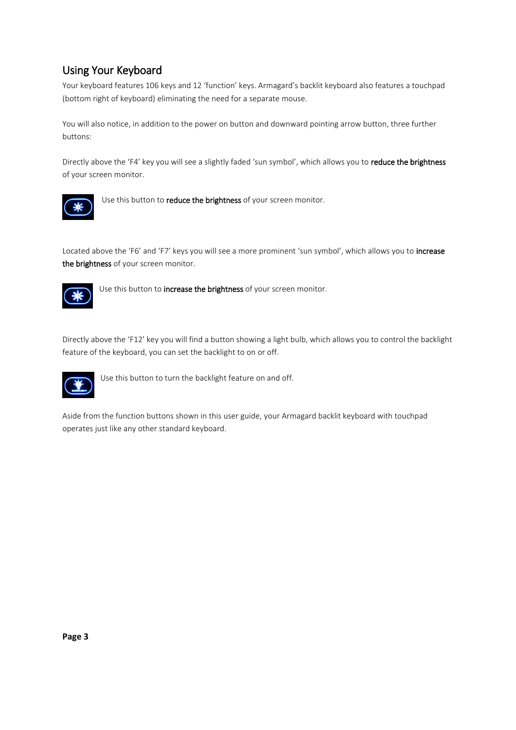## Using Your Keyboard

Your keyboard features 106 keys and 12 'function' keys. Armagard's backlit keyboard also features a touchpad (bottom right of keyboard) eliminating the need for a separate mouse.

You will also notice, in addition to the power on button and downward pointing arrow button, three further buttons:

Directly above the 'F4' key you will see a slightly faded 'sun symbol', which allows you to reduce the brightness of your screen monitor.



Use this button to reduce the brightness of your screen monitor.

Located above the 'F6' and 'F7' keys you will see a more prominent 'sun symbol', which allows you to increase the brightness of your screen monitor.



Use this button to increase the brightness of your screen monitor.

Directly above the 'F12' key you will find a button showing a light bulb, which allows you to control the backlight feature of the keyboard, you can set the backlight to on or off.



Use this button to turn the backlight feature on and off.

Aside from the function buttons shown in this user guide, your Armagard backlit keyboard with touchpad operates just like any other standard keyboard.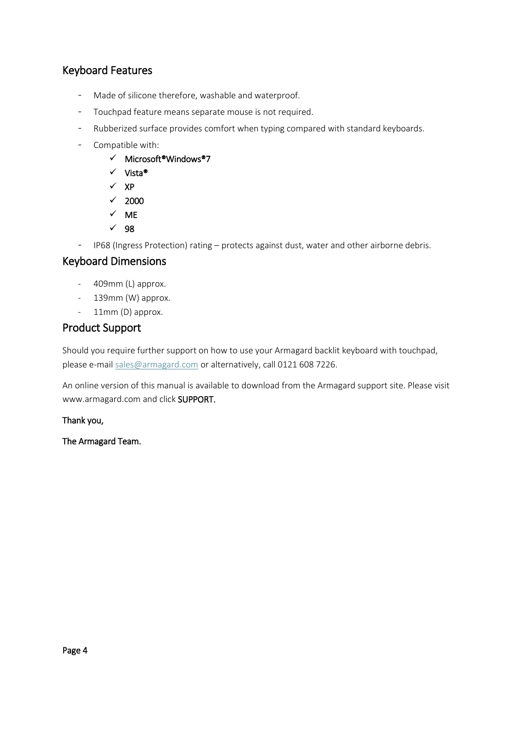### Keyboard Features

- Made of silicone therefore, washable and waterproof.
- Touchpad feature means separate mouse is not required.
- Rubberized surface provides comfort when typing compared with standard keyboards.
- Compatible with:
	- Microsoft®Windows®7
	- Vista®
	- $\times$  XP
	- $\times$  2000
	- $\times$  ME
	- $\sqrt{98}$
- IP68 (Ingress Protection) rating protects against dust, water and other airborne debris.

#### Keyboard Dimensions

- 409mm (L) approx.
- 139mm (W) approx.
- 11mm (D) approx.

#### Product Support

Should you require further support on how to use your Armagard backlit keyboard with touchpad, please e-mail sales@armagard.com or alternatively, call 0121 608 7226.

An online version of this manual is available to download from the Armagard support site. Please visit www.armagard.com and click SUPPORT.

Thank you,

The Armagard Team.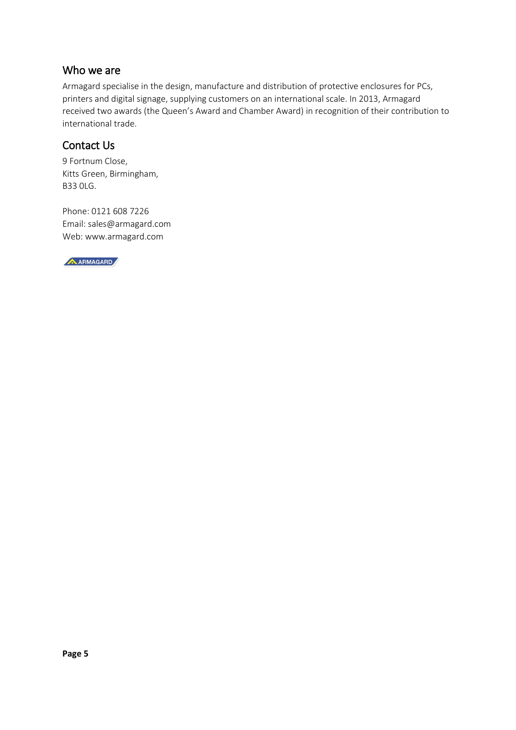#### Who we are

Armagard specialise in the design, manufacture and distribution of protective enclosures for PCs, printers and digital signage, supplying customers on an international scale. In 2013, Armagard received two awards (the Queen's Award and Chamber Award) in recognition of their contribution to international trade.

## Contact Us

9 Fortnum Close, Kitts Green, Birmingham, B33 0LG.

Phone: 0121 608 7226 Email: sales@armagard.com Web: www.armagard.com

A ARMAGARD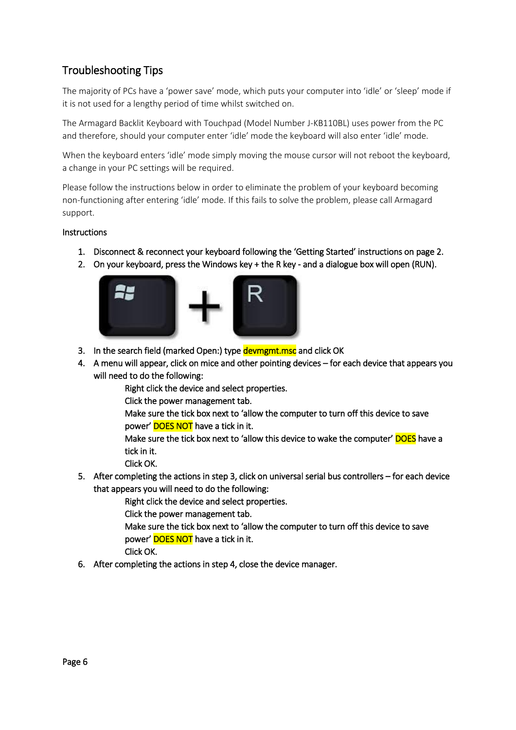## Troubleshooting Tips

The majority of PCs have a 'power save' mode, which puts your computer into 'idle' or 'sleep' mode if it is not used for a lengthy period of time whilst switched on.

The Armagard Backlit Keyboard with Touchpad (Model Number J-KB110BL) uses power from the PC and therefore, should your computer enter 'idle' mode the keyboard will also enter 'idle' mode.

When the keyboard enters 'idle' mode simply moving the mouse cursor will not reboot the keyboard, a change in your PC settings will be required.

Please follow the instructions below in order to eliminate the problem of your keyboard becoming non-functioning after entering 'idle' mode. If this fails to solve the problem, please call Armagard support.

#### Instructions

- 1. Disconnect & reconnect your keyboard following the 'Getting Started' instructions on page 2.
- 2. On your keyboard, press the Windows key + the R key and a dialogue box will open (RUN).



- 3. In the search field (marked Open:) type devmgmt.msc and click OK
- 4. A menu will appear, click on mice and other pointing devices for each device that appears you will need to do the following:

Right click the device and select properties.

Click the power management tab.

Make sure the tick box next to 'allow the computer to turn off this device to save power' DOES NOT have a tick in it.

Make sure the tick box next to 'allow this device to wake the computer' **DOES** have a tick in it.

Click OK.

5. After completing the actions in step 3, click on universal serial bus controllers – for each device that appears you will need to do the following:

Right click the device and select properties.

Click the power management tab.

Make sure the tick box next to 'allow the computer to turn off this device to save power' DOES NOT have a tick in it.

Click OK.

6. After completing the actions in step 4, close the device manager.